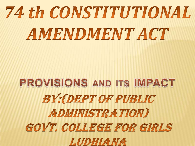# 74 th CONSTITUTIONAL *AMENDMENT ACT*

### **PROVISIONS AND ITS IMPACT** BY: (DEPT OF PUBLIC **ADMINISTRATION)** GOVT. COLLEGE FOR GIRLS **LUDHIANA**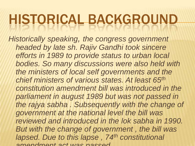# HISTORICAL BACKGROUND

*Historically speaking, the congress government headed by late sh. Rajiv Gandhi took sincere efforts in 1989 to provide status to urban local bodies. So many discussions were also held with the ministers of local self governments and the chief ministers of various states. At least 65th constitution amendment bill was introduced in the parliament in august 1989 but was not passed in the rajya sabha . Subsequently with the change of government at the national level the bill was reviewed and introduced in the lok sabha in 1990. But with the change of government , the bill was lapsed. Due to this lapse , 74th constitutional amendment act was passed .*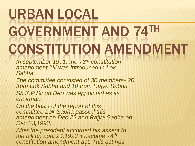## URBAN LOCAL GOVERNMENT AND 74TH CONSTITUTION AMENDMENT

- *In september 1991, the 73rd constitution amendment bill was introduced in Lok Sabha.*
- *The committee consisted of 30 members- 20 from Lok Sabha and 10 from Rajya Sabha.*
- *Sh.K.P Singh Deo was appointed as its chairman.*
- *On the basis of the report of this committee,Lok Sabha passed this amendment on Dec 22 and Rajya Sabha on Dec 23,1993.*
	- *After the president accorded his assent to the bill on april 24,1993 it became 74th constitution amendment act. This act has introduced revolutionary changes in urban*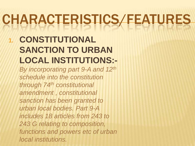# CHARACTERISTICS/FEATURES

### **1. CONSTITUTIONAL SANCTION TO URBAN LOCAL INSTITUTIONS:-**

*By incorporating part 9-A and 12th schedule into the constitution through 74th constitutional amendment , constitutional sanction has been granted to urban local bodies. Part 9-A includes 18 articles from 243 to 243 G relating to composition, functions and powers etc of urban local institutions.*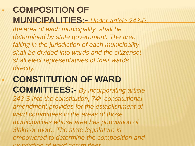#### **COMPOSITION OF MUNICIPALITIES:-** *Under article 243-R,*

*the area of each municipality shall be determined by state government. The area falling in the jurisdiction of each municipality shall be divided into wards and the citizensct shall elect representatives of their wards directly.*

#### **CONSTITUTION OF WARD COMMITTEES:-** *By incorporating article 243-S into the constitution, 74th constitutional amendment provides for the establishment of ward committees in the areas of those municipalities whose area has population of 3lakh or more. The state legislature is empowered to determine the composition and jurisdiction of ward committees.*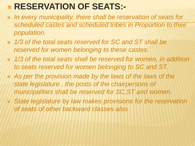### **RESERVATION OF SEATS:-**

- *In every municipality, there shall be reservation of seats for scheduled castes and scheduled tribes in Proportion to their population.*
- *1/3 of the total seats reserved for SC and ST shall be reserved for women belonging to these castes.*
- *1/3 of the total seats shall be reserved for women, in addition to seats reserved for women belonging to SC and ST.*
- *As per the provision made by the laws of the laws of the state legislature , the posts of the chairpersons of municipalities shall be reserved for SC,ST and women.*
- *State legislature by law makes provisions for the reservation of seats of other backward classes also.*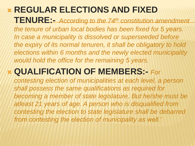### **REGULAR ELECTIONS AND FIXED**

**TENURE:-** *According to the 74th constitution amendment the tenure of urban local bodies has been fixed for 5 years. In case a municipality is dissolved or superseeded before the expiry of its normal tenuren, it shall be obligatory to hold elections within 6 months and the newly elected municipality would hold the office for the remaining 5 years.*

### **QUALIFICATION OF MEMBERS:-** *For*

*contesting election of municipalities at each level, a person shall possess the same qualifications as required for becoming a member of state legislature. But he/she must be atleast 21 years of age. A person who is disqualified from contesting the election to state legislature shall be debarred from contesting the election of municipality as well.'*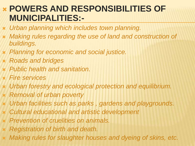#### **POWERS AND RESPONSIBILITIES OF MUNICIPALITIES:-**

- *Urban planning which includes town planning.*
- *Making rules regarding the use of land and construction of buildings.*
- *Planning for economic and social justice.*
- *Roads and bridges*
- *Public health and sanitation.*
- *Fire services*
- *Urban forestry and ecological protection and equilibrium.*
- *Removal of urban poverty*
- *Urban facilities such as parks , gardens and playgrounds.*
- *Cultural educational and artistic development*
- *Prevention of cruelities on animals.*
- *Registration of birth and death.*
- *Making rules for slaughter houses and dyeing of skins, etc.*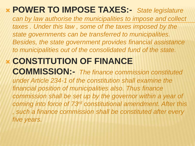### **POWER TO IMPOSE TAXES:-** *State legislature*

*can by law authorise the municipalities to impose and collect*  taxes . Under this law, some of the taxes imposed by the *state governments can be transferred to municipalities. Besides, the state government provides financial assistance to municipalities out of the consolidated fund of the state.*

 **CONSTITUTION OF FINANCE COMMISSION:-** *The finance commission constituted under Article 234-1 of the constitution shall examine the financial position of municipalities also. Thus finance*  commission shall be set up by the governor within a year of *coming into force of 73rd constitutional amendment. After this , such a finance commission shall be constituted after every five years.*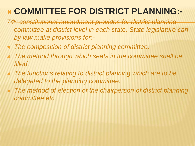### **COMMITTEE FOR DISTRICT PLANNING:-**

- *74th constitutional amendment provides for district planning committee at district level in each state. State legislature can by law make provisions for:-*
- *The composition of district planning committee.*
- *The method through which seats in the committee shall be filled.*
- *The functions relating to district planning which are to be delegated to the planning committee.*
- *The method of election of the chairperson of district planning committee etc.*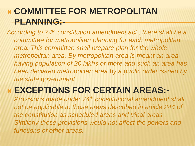### **COMMITTEE FOR METROPOLITAN PLANNING:-**

*According to 74th constitution amendment act , there shall be a committee for metropolitan planning for each metropolitan area. This committee shall prepare plan for the whole metropolitan area. By metropolitan area is meant an area having population of 20 lakhs or more and such an area has been declared metropolitan area by a public order issued by the state government*

### **EXCEPTIONS FOR CERTAIN AREAS:-**

*Provisions made under 74th constitutional amendment shall not be applicable to those areas described in article 244 of the constitution as scheduled areas and tribal areas . Similarly these provisions would not affect the powers and functions of other areas.*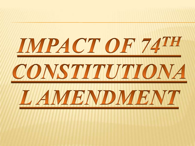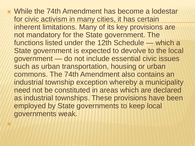While the 74th Amendment has become a lodestar for civic activism in many cities, it has certain inherent limitations. Many of its key provisions are not mandatory for the State government. The functions listed under the 12th Schedule — which a State government is expected to devolve to the local government — do not include essential civic issues such as urban transportation, housing or urban commons. The 74th Amendment also contains an industrial township exception whereby a municipality need not be constituted in areas which are declared as industrial townships. These provisions have been employed by State governments to keep local governments weak.

×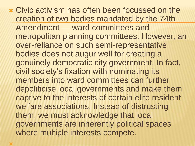Civic activism has often been focussed on the creation of two bodies mandated by the 74th Amendment — ward committees and metropolitan planning committees. However, an over-reliance on such semi-representative bodies does not augur well for creating a genuinely democratic city government. In fact, civil society's fixation with nominating its members into ward committees can further depoliticise local governments and make them captive to the interests of certain elite resident welfare associations. Instead of distrusting them, we must acknowledge that local governments are inherently political spaces where multiple interests compete.

×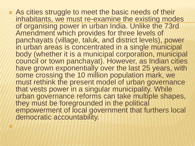As cities struggle to meet the basic needs of their inhabitants, we must re-examine the existing modes of organising power in urban India. Unlike the 73rd Amendment which provides for three levels of panchayats (village, taluk, and district levels), power in urban areas is concentrated in a single municipal body (whether it is a municipal corporation, municipal council or town panchayat). However, as Indian cities have grown exponentially over the last 25 years, with some crossing the 10 million population mark, we must rethink the present model of urban governance that vests power in a singular municipality. While urban governance reforms can take multiple shapes, they must be foregrounded in the political empowerment of local government that furthers local democratic accountability.

×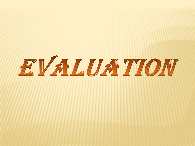# EVALUATION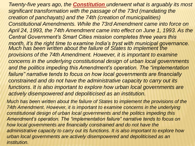*Twenty-five years ago, the [Constitution](https://www.thehindu.com/tag/1353-1349/constitution/?utm=bodytag) [u](https://www.thehindu.com/tag/1353-1349/constitution/?utm=bodytag)nderwent what is arguably its most significant transformation with the passage of the 73rd (mandating the creation of panchayats) and the 74th (creation of municipalities) Constitutional Amendments. While the 73rd Amendment came into force on April 24, 1993, the 74th Amendment came into effect on June 1, 1993. As the Central Government's Smart Cities mission completes three years this month, it's the right time to examine India's tryst with municipal governance. Much has been written about the failure of States to implement the provisions of the 74th Amendment. However, it is important to examine concerns in the underlying constitutional design of urban local governments and the politics impeding this Amendment's operation. The "implementation failure" narrative tends to focus on how local governments are financially constrained and do not have the administrative capacity to carry out its*  functions. It is also important to explore how urban local governments are *actively disempowered and depoliticised as an institution.*

*Much has been written about the failure of States to implement the provisions of the 74th Amendment. However, it is important to examine concerns in the underlying constitutional design of urban local governments and the politics impeding this Amendment's operation. The "implementation failure" narrative tends to focus on how local governments are financially constrained and do not have the administrative capacity to carry out its functions. It is also important to explore how urban local governments are actively disempowered and depoliticised as an institution.*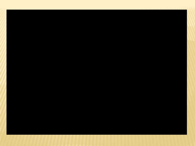